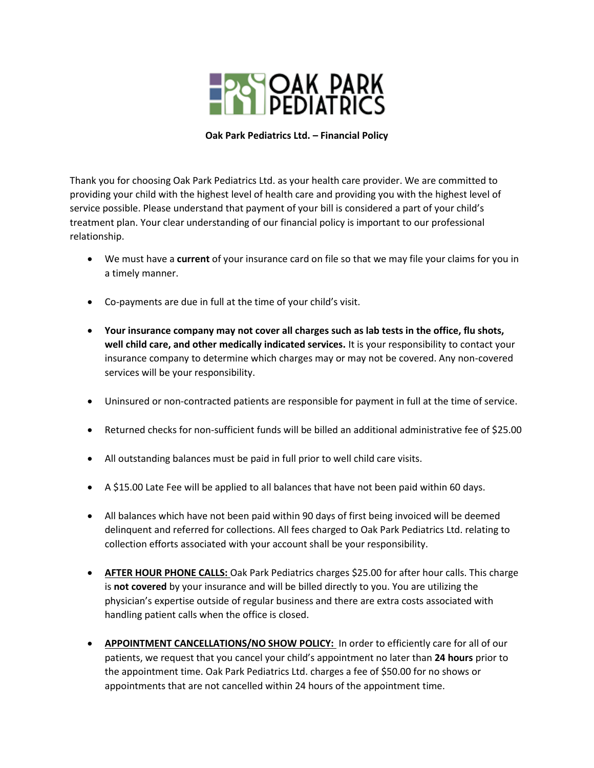

**Oak Park Pediatrics Ltd. – Financial Policy** 

Thank you for choosing Oak Park Pediatrics Ltd. as your health care provider. We are committed to providing your child with the highest level of health care and providing you with the highest level of service possible. Please understand that payment of your bill is considered a part of your child's treatment plan. Your clear understanding of our financial policy is important to our professional relationship.

- We must have a **current** of your insurance card on file so that we may file your claims for you in a timely manner.
- Co-payments are due in full at the time of your child's visit.
- **Your insurance company may not cover all charges such as lab tests in the office, flu shots, well child care, and other medically indicated services.** It is your responsibility to contact your insurance company to determine which charges may or may not be covered. Any non-covered services will be your responsibility.
- Uninsured or non-contracted patients are responsible for payment in full at the time of service.
- Returned checks for non-sufficient funds will be billed an additional administrative fee of \$25.00
- All outstanding balances must be paid in full prior to well child care visits.
- A \$15.00 Late Fee will be applied to all balances that have not been paid within 60 days.
- All balances which have not been paid within 90 days of first being invoiced will be deemed delinquent and referred for collections. All fees charged to Oak Park Pediatrics Ltd. relating to collection efforts associated with your account shall be your responsibility.
- **AFTER HOUR PHONE CALLS:** Oak Park Pediatrics charges \$25.00 for after hour calls. This charge is **not covered** by your insurance and will be billed directly to you. You are utilizing the physician's expertise outside of regular business and there are extra costs associated with handling patient calls when the office is closed.
- **APPOINTMENT CANCELLATIONS/NO SHOW POLICY:** In order to efficiently care for all of our patients, we request that you cancel your child's appointment no later than **24 hours** prior to the appointment time. Oak Park Pediatrics Ltd. charges a fee of \$50.00 for no shows or appointments that are not cancelled within 24 hours of the appointment time.